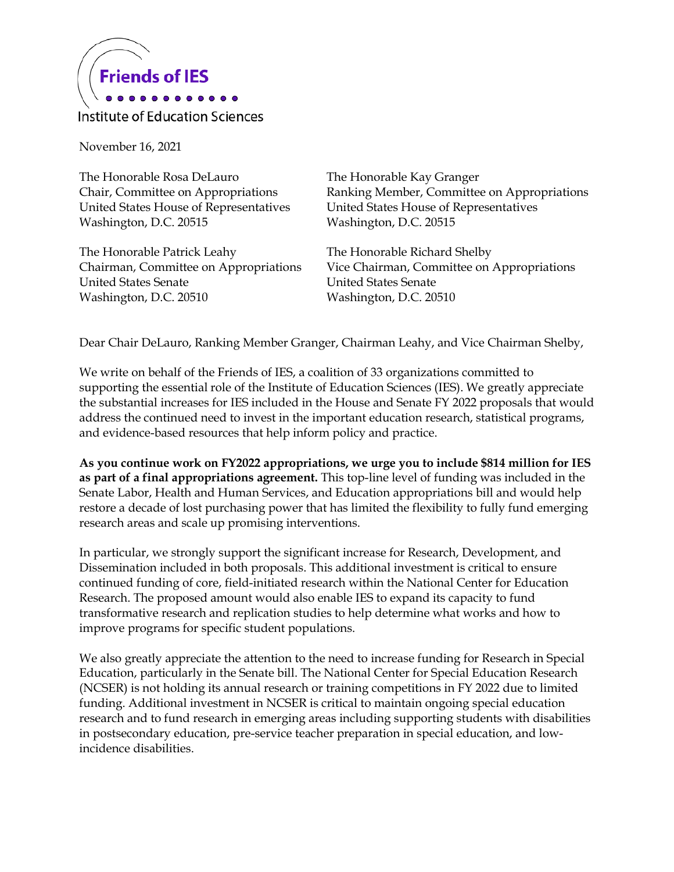

## Institute of Education Sciences

November 16, 2021

The Honorable Rosa DeLauro Chair, Committee on Appropriations United States House of Representatives Washington, D.C. 20515

The Honorable Patrick Leahy Chairman, Committee on Appropriations United States Senate Washington, D.C. 20510

The Honorable Kay Granger Ranking Member, Committee on Appropriations United States House of Representatives Washington, D.C. 20515

The Honorable Richard Shelby Vice Chairman, Committee on Appropriations United States Senate Washington, D.C. 20510

Dear Chair DeLauro, Ranking Member Granger, Chairman Leahy, and Vice Chairman Shelby,

We write on behalf of the Friends of IES, a coalition of 33 organizations committed to supporting the essential role of the Institute of Education Sciences (IES). We greatly appreciate the substantial increases for IES included in the House and Senate FY 2022 proposals that would address the continued need to invest in the important education research, statistical programs, and evidence-based resources that help inform policy and practice.

**As you continue work on FY2022 appropriations, we urge you to include \$814 million for IES as part of a final appropriations agreement.** This top-line level of funding was included in the Senate Labor, Health and Human Services, and Education appropriations bill and would help restore a decade of lost purchasing power that has limited the flexibility to fully fund emerging research areas and scale up promising interventions.

In particular, we strongly support the significant increase for Research, Development, and Dissemination included in both proposals. This additional investment is critical to ensure continued funding of core, field-initiated research within the National Center for Education Research. The proposed amount would also enable IES to expand its capacity to fund transformative research and replication studies to help determine what works and how to improve programs for specific student populations.

We also greatly appreciate the attention to the need to increase funding for Research in Special Education, particularly in the Senate bill. The National Center for Special Education Research (NCSER) is not holding its annual research or training competitions in FY 2022 due to limited funding. Additional investment in NCSER is critical to maintain ongoing special education research and to fund research in emerging areas including supporting students with disabilities in postsecondary education, pre-service teacher preparation in special education, and lowincidence disabilities.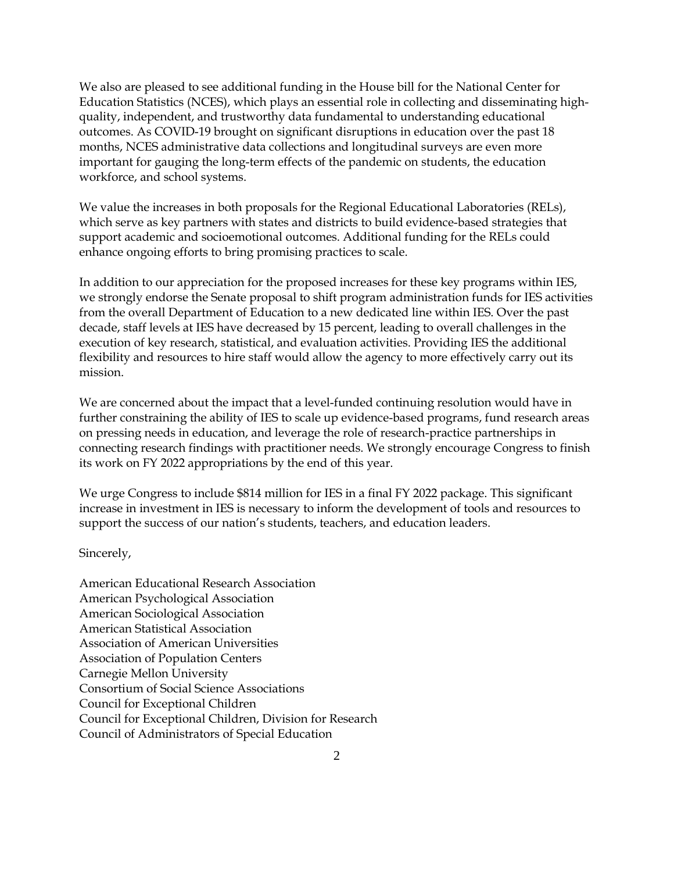We also are pleased to see additional funding in the House bill for the National Center for Education Statistics (NCES), which plays an essential role in collecting and disseminating highquality, independent, and trustworthy data fundamental to understanding educational outcomes. As COVID-19 brought on significant disruptions in education over the past 18 months, NCES administrative data collections and longitudinal surveys are even more important for gauging the long-term effects of the pandemic on students, the education workforce, and school systems.

We value the increases in both proposals for the Regional Educational Laboratories (RELs), which serve as key partners with states and districts to build evidence-based strategies that support academic and socioemotional outcomes. Additional funding for the RELs could enhance ongoing efforts to bring promising practices to scale.

In addition to our appreciation for the proposed increases for these key programs within IES, we strongly endorse the Senate proposal to shift program administration funds for IES activities from the overall Department of Education to a new dedicated line within IES. Over the past decade, staff levels at IES have decreased by 15 percent, leading to overall challenges in the execution of key research, statistical, and evaluation activities. Providing IES the additional flexibility and resources to hire staff would allow the agency to more effectively carry out its mission.

We are concerned about the impact that a level-funded continuing resolution would have in further constraining the ability of IES to scale up evidence-based programs, fund research areas on pressing needs in education, and leverage the role of research-practice partnerships in connecting research findings with practitioner needs. We strongly encourage Congress to finish its work on FY 2022 appropriations by the end of this year.

We urge Congress to include \$814 million for IES in a final FY 2022 package. This significant increase in investment in IES is necessary to inform the development of tools and resources to support the success of our nation's students, teachers, and education leaders.

Sincerely,

American Educational Research Association American Psychological Association American Sociological Association American Statistical Association Association of American Universities Association of Population Centers Carnegie Mellon University Consortium of Social Science Associations Council for Exceptional Children Council for Exceptional Children, Division for Research Council of Administrators of Special Education